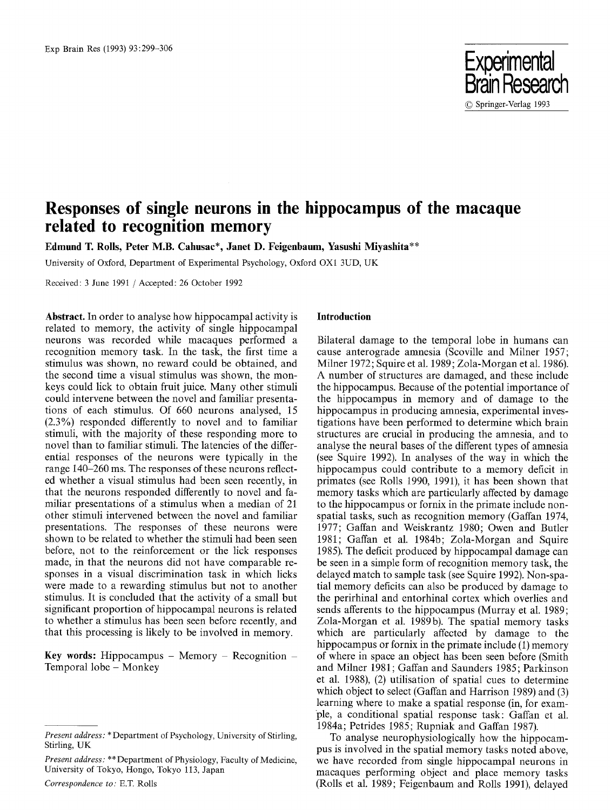

# **Responses of single neurons in the hippocampus of the macaque related to recognition memory**

**Edmund T. Rolls, Peter M.B. Cahusac\*, Janet D. Feigenbaum, Yasushi Miyashita\*\*** 

University of Oxford, Department of Experimental Psychology, Oxford OX1 3UD, UK

Received: 3 June 1991 / Accepted: 26 October 1992

**Abstract.** In order to analyse how hippocampal activity is related to memory, the activity of single hippocampal neurons was recorded while macaques performed a recognition memory task. In the task, the first time a stimulus was shown, no reward could be obtained, and the second time a visual stimulus was shown, the monkeys could lick to obtain fruit juice. Many other stimuli could intervene between the novel and familiar presentations of each stimulus. Of 660 neurons analysed, 15 (2.3%) responded differently to novel and to familiar stimuli, with the majority of these responding more to novel than to familiar stimuli. The latencies of the differential responses of the neurons were typically in the range 140-260 ms. The responses of these neurons reflected whether a visual stimulus had been seen recently, in that the neurons responded differently to novel and familiar presentations of a stimulus when a median of 21 other stimuli intervened between the novel and familiar presentations. The responses of these neurons were shown to be related to whether the stimuli had been seen before, not to the reinforcement or the lick responses made, in that the neurons did not have comparable responses in a visual discrimination task in which licks were made to a rewarding stimulus but not to another stimulus. It is concluded that the activity of a small but significant proportion of hippocampal neurons is related to whether a stimulus has been seen before recently, and that this processing is likely to be involved in memory.

**Key words:** Hippocampus – Memory – Recognition – Temporal lobe - Monkey

### **Introduction**

Bilateral damage to the temporal lobe in humans can cause anterograde amnesia (Scoville and Milner 1957; Milner 1972; Squire et al. 1989; Zola-Morgan et al. 1986). A number of structures are damaged, and these include the hippocampus. Because of the potential importance of the hippocampus in memory and of damage to the hippocampus in producing amnesia, experimental investigations have been performed to determine which brain structures are crucial in producing the amnesia, and to analyse the neural bases of the different types of amnesia (see Squire 1992). In analyses of the way in which the hippocampus could contribute to a memory deficit in primates (see Rolls 1990, 1991), it has been shown that memory tasks which are particularly affected by damage to the hippocampus or fornix in the primate include nonspatial tasks, such as recognition memory (Gaffan 1974, 1977; Gaffan and Weiskrantz 1980; Owen and Butler 1981; Gaffan et al. 1984b; Zola-Morgan and Squire 1985). The deficit produced by hippocampal damage can be seen in a simple form of recognition memory task, the delayed match to sample task (see Squire 1992). Non-spatial memory deficits can also be produced by damage to the perirhinal and entorhinal cortex which overlies and sends afferents to the hippocampus (Murray et al. 1989; Zola-Morgan et al. 1989b). The spatial memory tasks which are particularly affected by damage to the hippocampus or fornix in the primate include (1) memory of where in space an object has been seen before (Smith and Milner 1981; Gaffan and Saunders 1985; Parkinson et al. 1988), (2) utilisation of spatial cues to determine which object to select (Gaffan and Harrison 1989) and (3) learning where to make a spatial response (in, for example, a conditional spatial response task: Gaffan et al. 1984a; Petrides 1985; Rupniak and Gaffan 1987).

To analyse neurophysiologically how the hippocampus is involved in the spatial memory tasks noted above, we have recorded from single hippocampal neurons in macaques performing object and place memory tasks (Rolls et al. 1989; Feigenbaum and Rolls 1991), delayed

*Present address: \** Department of Psychology, University of Stirling, Stirling, UK

*Present address: \*\** Department of Physiology, Faculty of Medicine, University of Tokyo, Hongo, Tokyo 113, Japan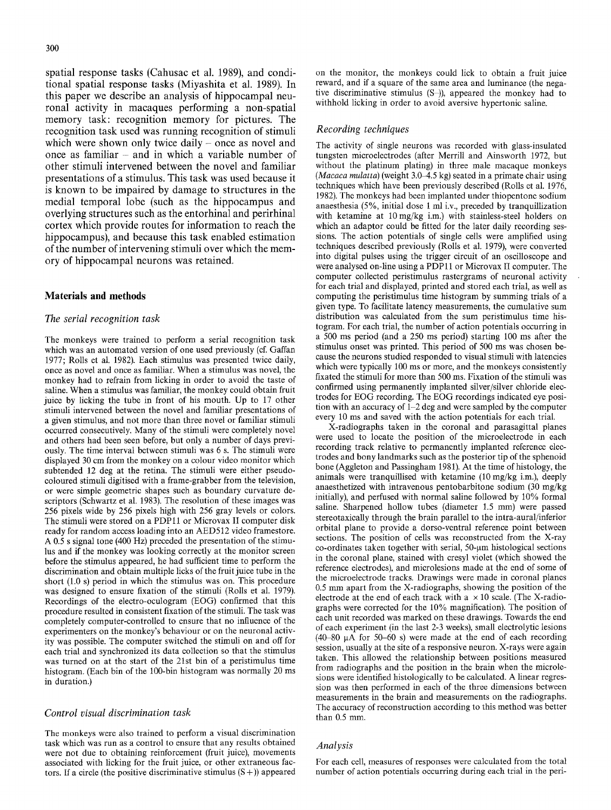spatial response tasks (Cahusac et al. 1989), and conditional spatial response tasks (Miyashita et al. 1989). In this paper we describe an analysis of hippocampal neuronal activity in macaques performing a non-spatial memory task: recognition memory for pictures. The recognition task used was running recognition of stimuli which were shown only twice daily  $-$  once as novel and once as familiar  $-$  and in which a variable number of other stimuli intervened between the novel and familiar presentations of a stimulus. This task was used because it is known to be impaired by damage to structures in the medial temporal lobe (such as the hippocampus and overlying structures such as the entorhinal and perirhinal cortex which provide routes for information to reach the hippocampus), and because this task enabled estimation of the number of intervening stimuli over which the memory of hippocampal neurons was retained.

# **Materials and methods**

#### *The serial recognition task*

The monkeys were trained to perform a serial recognition task which was an automated version of one used previously (cf. Gaffan 1977; Rolls et al. 1982). Each stimulus was presented twice daily, once as novel and once as familiar. When a stimulus was novel, the monkey had to refrain from licking in order to avoid the taste of saline. When a stimulus was familiar, the monkey could obtain fruit juice by licking the tube in front of his mouth. Up to 17 other stimuli intervened between the novel and familiar presentations of a given stimulus, and not more than three novel or familiar stimuli occurred consecutively. Many of the stimuli were completely novel and others had been seen before, but only a number of days previously. The time interval between stimuli was 6 s. The stimuli were displayed 30 cm from the monkey on a colour video monitor which subtended 12 deg at the retina. The stimuli were either pseudocoloured stimuli digitised with a frame-grabber from the television, or were simple geometric shapes such as boundary curvature descriptors (Schwartz et al. 1983). The resolution of these images was 256 pixels wide by 256 pixels high with 256 gray levels or colors. The stimuli were stored on a PDPll or Microvax II computer disk ready for random access loading into an AED512 video framestore. A 0.5 s signal tone (400 Hz) preceded the presentation of the stimulus and if the monkey was looking correctly at the monitor screen before the stimulus appeared, he had sufficient time to perform the discrimination and obtain multiple licks of the fruit juice tube in the short (1.0 s) period in which the stimulus was on. This procedure was designed to ensure fixation of the stimuli (Rolls et al. 1979). Recordings of the electro-oculogram (EOG) confirmed that this procedure resulted in consistent fixation of the stimuli. The task was completely computer-controlled to ensure that no influence of the experimenters on the monkey's behaviour or on the neuronal activity was possible. The computer switched the stimuli on and off for each trial and synchronized its data collection so that the stimulus was turned on at the start of the 21st bin of a peristimulus time histogram. (Each bin of the 100-bin histogram was normally 20 ms in duration.)

#### *Control visual discrimination task*

The monkeys were also trained to perform a visual discrimination task which was run as a control to ensure that any results obtained were not due to obtaining reinforcement (fruit juice), movements associated with licking for the fruit juice, or other extraneous factors. If a circle (the positive discriminative stimulus  $(S + )$ ) appeared

on the monitor, the monkeys could lick to obtain a fruit juice reward, and if a square of the same area and luminance (the negative discriminative stimulus  $(S-)$ ), appeared the monkey had to withhold licking in order to avoid aversive hypertonic saline.

#### *Recording techniques*

The activity of single neurons was recorded with glass-insulated tungsten microelectrodes (after Merrill and Ainsworth 1972, but without the platinum plating) in three male macaque monkeys *(Macaca mulatta)* (weight 3.0-4.5 kg) seated in a primate chair using techniques which have been previously described (Rolls et al. 1976, 1982). The monkeys had been implanted under thiopentone sodium anaesthesia (5%, initial dose 1 ml i.v., preceded by tranquillization with ketamine at 10mg/kg i.m.) with stainless-steel holders on which an adaptor could be fitted for the later daily recording sessions. The action potentials of single cells were amplified using techniques described previously (Rolls et al. 1979), were converted into digital pulses using the trigger circuit of an oscilloscope and were analysed on-line using a PDP11 or Microvax II computer. The computer collected peristimulus rastergrams of neuronal activity for each trial and displayed, printed and stored each trial, as well as computing the peristimulus time histogram by summing trials of a given type. To facilitate latency measurements, the cumulative sum distribution was calculated from the sum peristimulus time histogram. For each trial, the number of action potentials occurring in a 500 ms period (and a 250 ms period) starting 100 ms after the stimulus onset was printed. This period of 500 ms was chosen because the neurons studied responded to visual stimuli with latencies which were typically 100 ms or more, and the monkeys consistently fixated the stimuli for more than 500 ms. Fixation of the stimuli was confirmed using permanently implanted silver/silver chloride electrodes for EOG recording. The EOG recordings indicated eye position with an accuracy of 1-2 deg and were sampled by the computer every 10 ms and saved with the action potentials for each trial.

X-radiographs taken in the coronal and parasagittal planes were used to locate the position of the microelectrode in each recording track relative to permanently implanted reference electrodes and bony landmarks such as the posterior tip of the sphenoid bone (Aggleton and Passingham 1981). At the time of histology, the animals were tranquillised with ketamine (10 mg/kg i.m.), deeply anaesthetized with intravenous pentobarbitone sodium (30 mg/kg initially), and perfused with normal saline followed by 10% formal saline. Sharpened hollow tubes (diameter 1.5 mm) were passed stereotaxically through the brain parallel to the intra-aural/inferior orbital plane to provide a dorso-ventral reference point between sections. The position of cells was reconstructed from the X-ray  $co$ -ordinates taken together with serial,  $50$ - $\mu$ m histological sections in the coronal plane, stained with cresyl violet (which showed the reference electrodes), and microlesions made at the end of some of the microelectrode tracks. Drawings were made in coronal planes 0.5 mm apart from the X-radiographs, showing the position of the electrode at the end of each track with a  $\times$  10 scale. (The X-radiographs were corrected for the 10% magnification). The position of each unit recorded was marked on these drawings. Towards the end of each experiment (in the last 2-3 weeks), small electrolytic lesions  $(40-80 \mu A)$  for 50-60 s) were made at the end of each recording session, usually at the site of a responsive neuron. X-rays were again taken. This allowed the relationship between positions measured from radiographs and the position in the brain when the microlesions were identified histologically to be calculated. A linear regression was then performed in each of the three dimensions between measurements in the brain and measurements on the radiographs. The accuracy of reconstruction according to this method was better than  $0.5$  mm.

# *Analysis*

For each cell, measures of responses were calculated from the total number of action potentials occurring during each trial in the peri-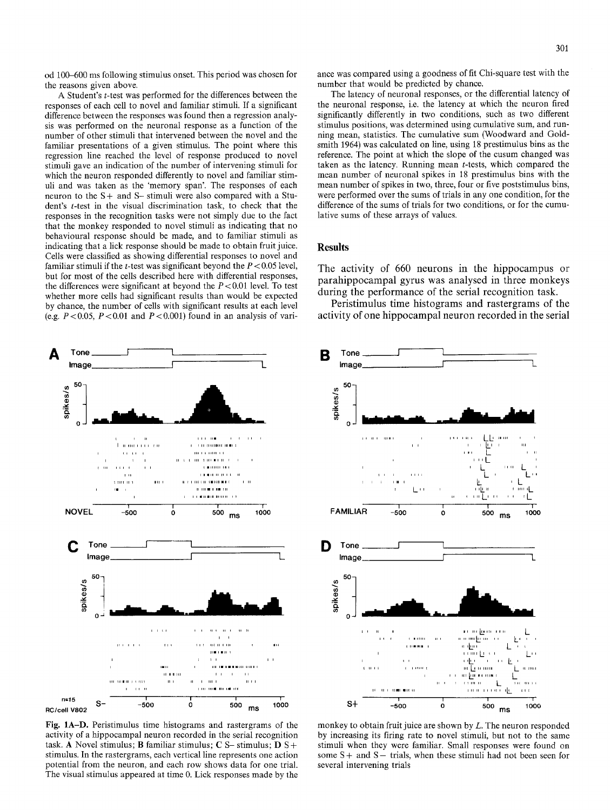od 100-600 ms following stimulus onset. This period was chosen for the reasons given above.

A Student's t-test was performed for the differences between the responses of each cell to novel and familiar stimuli. If a significant difference between the responses was found then a regression analysis was performed on the neuronal response as a function of the number of other stimuli that intervened between the novel and the familiar presentations of a given stimulus. The point where this regression line reached the level of response produced to novel stimuli gave an indication of the number of intervening stimuli for which the neuron responded differently to novel and familiar stimuli and was taken as the 'memory span'. The responses of each neuron to the  $S$  + and  $S$ -stimuli were also compared with a Student's t-test in the visual discrimination task, to check that the responses in the recognition tasks were not simply due to the fact that the monkey responded to novel stimuli as indicating that no behavioural response should be made, and to familiar stimuli as indicating that a lick response should be made to obtain fruit juice. Cells were classified as showing differential responses to novel and familiar stimuli if the *t*-test was significant beyond the  $P < 0.05$  level, but for most of the cells described here with differential responses, the differences were significant at beyond the  $P < 0.01$  level. To test whether more cells had significant results than would be expected by chance, the number of cells with significant results at each level (e.g.  $P < 0.05$ ,  $P < 0.01$  and  $P < 0.001$ ) found in an analysis of vari-



Fig. 1A-D. Peristimulus time histograms and rastergrams of the activity of a hippocampal neuron recorded in the serial recognition task. A Novel stimulus; **B** familiar stimulus; **C** S– stimulus; **D** S + stimulus. In the rastergrams, each vertical line represents one action potential from the neuron, and each row shows data for one trial. The visual stimulus appeared at time 0. Lick responses made by the

ance was compared using a goodness of fit Chi-square test with the number that would be predicted by chance.

The latency of neuronal responses, or the differential latency of the neuronal response, i.e. the latency at which the neuron fired significantly differently in two conditions, such as two different stimulus positions, was determined using cumulative sum, and running mean, statistics. The cumulative sum (Woodward and Goldsmith 1964) was calculated on line, using 18 prestimulus bins as the reference. The point at which the slope of the cusum changed was taken as the latency. Running mean t-tests, which compared the mean number of neuronal spikes in 18 prestimulus bins with the mean number of spikes in two, three, four or five poststimulus bins, were performed over the sums of trials in any one condition, for the difference of the sums of trials for two conditions, or for the cumulative sums of these arrays of values.

# **Results**

The activity of 660 neurons in the hippocampus or parahippocampal gyrus was analysed in three monkeys during the performance of the serial recognition task.

Peristimulus time histograms and rastergrams of the activity of one hippocampal neuron recorded in the serial



monkey to obtain fruit juice are shown by L. The neuron responded by increasing its firing rate to novel stimuli, but not to the same stimuli when they were familiar. Small responses were found on some  $S$  + and  $S$  - trials, when these stimuli had not been seen for several intervening trials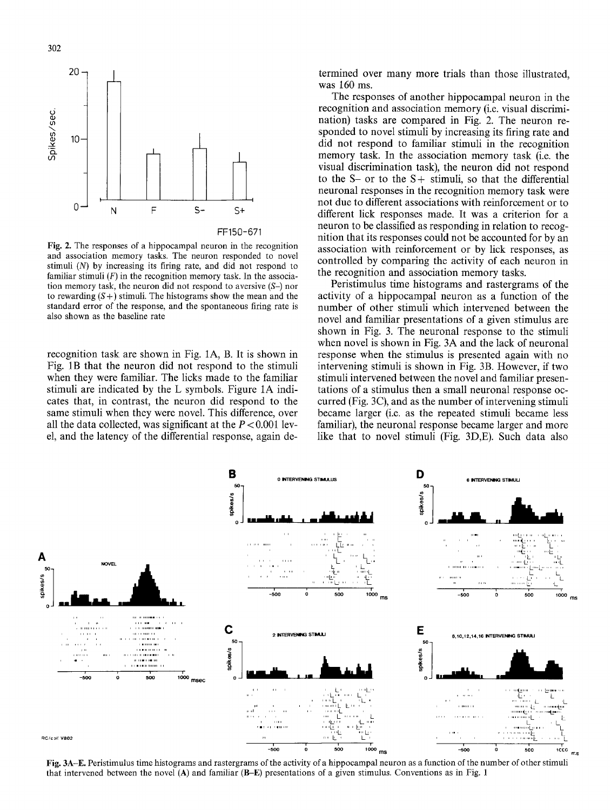

**Fig. 2. The responses of a hippocampal neuron in the recognition and association memory tasks. The neuron responded to novel stimuli (N) by increasing its firing rate, and did not respond** to **familiar stimuli (F) in the recognition memory task. In the association memory task, the neuron did not respond to aversive (S-) nor**  to rewarding  $(S +)$  stimuli. The histograms show the mean and the **standard error of the response, and the spontaneous firing rate is also shown as the baseline rate** 

**recognition task are shown in Fig. 1A, B. It is shown in Fig. 1B that the neuron did not respond to the stimuli when they were familiar. The licks made to the familiar stimuli are indicated by the L symbols. Figure 1A indicates that, in contrast, the neuron did respond to the same stimuli when they were novel. This difference, over all the data collected, was significant at the P < 0.001 level, and the latency of the differential response, again de-** **termined over many more trials than those illustrated, was 160 ms.** 

**The responses of another hippocampal neuron in the recognition and association memory (i.e. visual discrimination) tasks are compared in Fig. 2. The neuron responded to novel stimuli by increasing its firing rate and did not respond to familiar stimuli in the recognition memory task. In the association memory task (i.e. the visual discrimination task), the neuron did not respond**  to the  $S-$  or to the  $S+$  stimuli, so that the differential **neuronal responses in the recognition memory task were not due to different associations with reinforcement or to different lick responses made. It was a criterion for a neuron to be classified as responding in relation to recognition that its responses could not be accounted for by an association with reinforcement or by lick responses, as controlled by comparing the activity of each neuron in the recognition and association memory tasks.** 

**Peristimulus time histograms and rastergrams of the activity of a hippocampal neuron as a function of the number of other stimuli which intervened between the novel and familiar presentations of a given stimulus are shown in Fig. 3. The neuronal response to the stimuli when novel is shown in Fig. 3A and the lack of neuronal response when the stimulus is presented again with no intervening stimuli is shown in Fig. 3B. However, if two stimuli intervened between the novel and familiar presentations of a stimulus then a small neuronal response occurred (Fig. 3C), and as the number of intervening stimuli became larger (i.e. as the repeated stimuli became less familiar), the neuronal response became larger and more like that to novel stimuli (Fig. 3D,E). Such data also** 



**Fig. 3A-E. Peristimulus time histograms and rastergrams of the activity of a hippocampal neuron as a function of the number of other stimuli**  that intervened between the novel  $(A)$  and familiar  $(B-E)$  presentations of a given stimulus. Conventions as in Fig. 1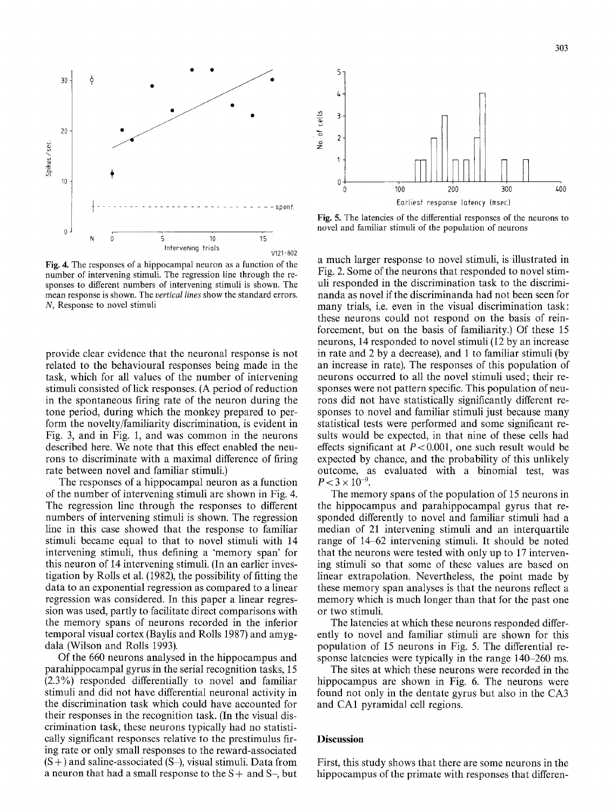

Fig. 4. The responses of a hippocampal neuron as a function of the number of intervening stimuli. The regression line through the responses to different numbers of intervening stimuli is shown. The mean response is shown. The *vertical lines* show the standard errors. N, Response to novel stimuli

provide clear evidence that the neuronal response is not related to the behavioural responses being made in the task, which for all values of the number of intervening stimuli consisted of lick responses. (A period of reduction in the spontaneous firing rate of the neuron during the tone period, during which the monkey prepared to perform the novelty/familiarity discrimination, is evident in Fig. 3, and in Fig. 1, and was common in the neurons described here. We note that this effect enabled the neurons to discriminate with a maximal difference of firing rate between novel and familiar stimuli.)

The responses of a hippocampal neuron as a function of the number of intervening stimuli are shown in Fig. 4. The regression line through the responses to different numbers of intervening stimuli is shown. The regression line in this case showed that the response to familiar stimuli became equal to that to novel stimuli with 14 intervening stimuli, thus defining a 'memory span' for this neuron of 14 intervening stimuli. (In an earlier investigation by Rolls et al. (1982), the possibility of fitting the data to an exponential regression as compared to a linear regression was considered. In this paper a linear regression was used, partly to facilitate direct comparisons with the memory spans of neurons recorded in the inferior temporal visual cortex (Baylis and Rolls 1987) and amygdala (Wilson and Rolls 1993).

Of the 660 neurons analysed in the hippocampus and parahippocampal gyrus in the serial recognition tasks, 15 (2.3%) responded differentially to novel and familiar stimuli and did not have differential neuronal activity in the discrimination task which could have accounted for their responses in the recognition task. (In the visual discrimination task, these neurons typically had no statistically significant responses relative to the prestimulus firing rate or only small responses to the reward-associated  $(S +)$  and saline-associated  $(S -)$ , visual stimuli. Data from a neuron that had a small response to the  $S+$  and  $S-$ , but



Fig. 5. The latencies of the differential responses of the neurons to novel and familiar stimuli of the population of neurons

a much larger response to novel stimuli, is illustrated in Fig. 2. Some of the neurons that responded to novel stimuli responded in the discrimination task to the discriminanda as novel if the discriminanda had not been seen for many trials, i.e. even in the visual discrimination task: these neurons could not respond on the basis of reinforcement, but on the basis of familiarity.) Of these 15 neurons, 14 responded to novel stimuli (12 by an increase in rate and 2 by a decrease), and 1 to familiar stimuli (by an increase in rate). The responses of this population of neurons occurred to all the novel stimuli used; their responses were not pattern specific. This population of neurons did not have statistically significantly different responses to novel and familiar stimuli just because many statistical tests were performed and some significant results would be expected, in that nine of these cells had effects significant at  $P < 0.001$ , one such result would be expected by chance, and the probability of this unlikely outcome, as evaluated with a binomial test, was  $P < 3 \times 10^{-9}$ .

The memory spans of the population of 15 neurons in the hippocampus and parahippocampal gyrus that responded differently to novel and familiar stimuli had a median of 21 intervening stimuli and an interquartile range of 14–62 intervening stimuli. It should be noted that the neurons were tested with only up to 17 intervening stimuli so that some of these values are based on linear extrapolation. Nevertheless, the point made by these memory span analyses is that the neurons reflect a memory which is much longer than that for the past one or two stimuli.

The latencies at which these neurons responded differently to novel and familiar stimuli are shown for this population of 15 neurons in Fig. 5. The differential response latencies were typically in the range 140-260 ms.

The sites at which these neurons were recorded in the hippocampus are shown in Fig. 6. The neurons were found not only in the dentate gyrus but also in the CA3 and CA1 pyramidal cell regions.

# **Discussion**

First, this study shows that there are some neurons in the hippocampus of the primate with responses that differen-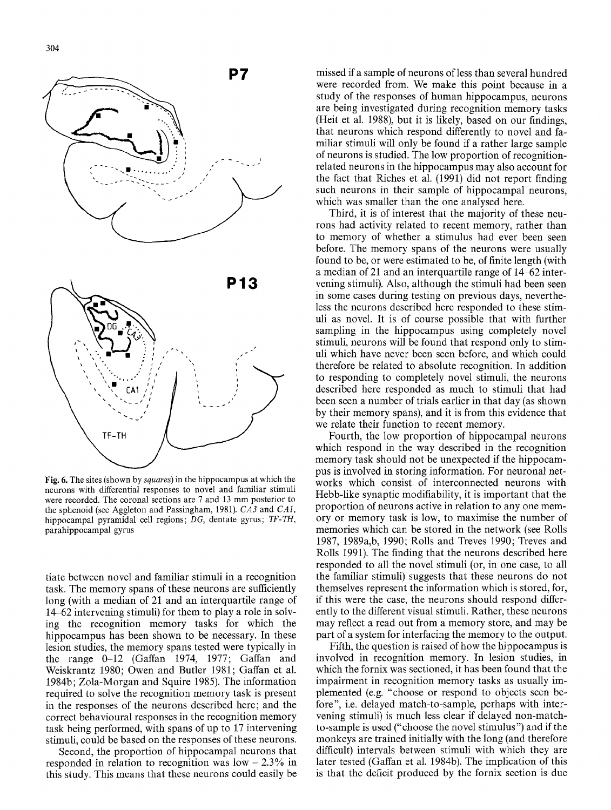

Fig. 6. The sites (shown by *squares)* in the hippocampus at which the neurons with differential responses to novel and familiar stimuli were recorded. The coronal sections are 7 and 13 mm posterior to the sphenoid (see Aggleton and Passingham, 1981). *CA3* and *CA1,*  hippocampal pyramidal cell regions; *DG*, dentate gyrus; TF-TH, parahippocampal gyrus

tiate between novel and familiar stimuli in a recognition task. The memory spans of these neurons are sufficiently long (with a median of 21 and an interquartile range of 14-62 intervening stimuli) for them to play a role in solving the recognition memory tasks for which the hippocampus has been shown to be necessary. In these lesion studies, the memory spans tested were typically in the range 0-12 (Gaffan 1974, 1977; Gaffan and Weiskrantz 1980; Owen and Butler 1981; Gaffan et al. 1984b; Zola-Morgan and Squire 1985). The information required to solve the recognition memory task is present in the responses of the neurons described here; and the correct behavioural responses in the recognition memory task being performed, with spans of up to 17 intervening stimuli, could be based on the responses of these neurons.

Second, the proportion of hippocampal neurons that responded in relation to recognition was  $low - 2.3\%$  in this study. This means that these neurons could easily be missed if a sample of neurons of less than several hundred were recorded from. We make this point because in a study of the responses of human hippocampus, neurons are being investigated during recognition memory tasks (Heit et al. 1988), but it is likely, based on our findings, that neurons which respond differently to novel and familiar stimuli will only be found if a rather large sample of neurons is studied. The low proportion of recognitionrelated neurons in the hippocampus may also account for the fact that Riches et al. (1991) did not report finding such neurons in their sample of hippocampal neurons, which was smaller than the one analysed here.

Third, it is of interest that the majority of these neurons had activity related to recent memory, rather than to memory of whether a stimulus had ever been seen before. The memory spans of the neurons were usually found to be, or were estimated to be, of finite length (with a median of 21 and an interquartile range of 14-62 intervening stimuli). Also, although the stimuli had been seen in some cases during testing on previous days, nevertheless the neurons described here responded to these stimuli as novel. It is of course possible that with further sampling in the hippocampus using completely novel stimuli, neurons will be found that respond only to stimuli which have never been seen before, and which could therefore be related to absolute recognition. In addition to responding to completely novel stimuli, the neurons described here responded as much to stimuli that had been seen a number of trials earlier in that day (as shown by their memory spans), and it is from this evidence that we relate their function to recent memory.

Fourth, the low proportion of hippocampal neurons which respond in the way described in the recognition memory task should not be unexpected if the hippocampus is involved in storing information. For neuronal networks which consist of interconnected neurons with Hebb-like synaptic modifiability, it is important that the proportion of neurons active in relation to any one memory or memory task is low, to maximise the number of memories which can be stored in the network (see Rolls 1987, 1989a,b, 1990; Rolls and Treves 1990; Treves and Rolls 1991). The finding that the neurons described here responded to all the novel stimuli (or, in one case, to all the familiar stimuli) suggests that these neurons do not themselves represent the information which is stored, for, if this were the case, the neurons should respond differently to the different visual stimuli. Rather, these neurons may reflect a read out from a memory store, and may be part of a system for interfacing the memory to the output.

Fifth, the question is raised of how the hippocampus is involved in recognition memory. In lesion studies, in which the fornix was sectioned, it has been found that the impairment in recognition memory tasks as usually implemented (e.g. "choose or respond to objects seen before", i.e. delayed match-to-sample, perhaps with intervening stimuli) is much less clear if delayed non-matchto-sample is used ("choose the novel stimulus") and if the monkeys are trained initially with the long (and therefore difficult) intervals between stimuli with which they are later tested (Gaffan et al. 1984b). The implication of this is that the deficit produced by the fornix section is due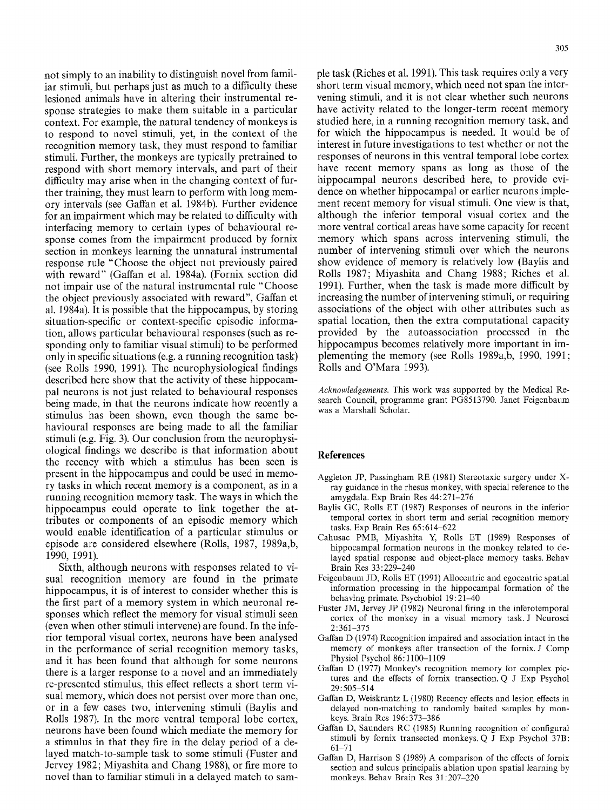not simply to an inability to distinguish novel from familiar stimuli, but perhaps just as much to a difficulty these lesioned animals have in altering their instrumental response strategies to make them suitable in a particular context. For example, the natural tendency of monkeys is to respond to novel stimuli, yet, in the context of the recognition memory task, they must respond to familiar stimuli. Further, the monkeys are typically pretrained to respond with short memory intervals, and part of their difficulty may arise when in the changing context of further training, they must learn to perform with long memory intervals (see Gaffan et al. 1984b). Further evidence for an impairment which may be related to difficulty with interfacing memory to certain types of behavioural response comes from the impairment produced by fornix section in monkeys learning the unnatural instrumental response rule "Choose the object not previously paired with reward" (Gaffan et al. 1984a). (Fornix section did not impair use of the natural instrumental rule "Choose the object previously associated with reward", Gaffan et al. 1984a). It is possible that the hippocampus, by storing situation~specific or context-specific episodic information, allows particular behavioural responses (such as responding only to familiar visual stimuli) to be performed only in specific situations (e.g. a running recognition task) (see Rolls 1990, 1991). The neurophysiological findings described here show that the activity of these hippocampal neurons is not just related to behavioural responses being made, in that the neurons indicate how recently a stimulus has been shown, even though the same behavioural responses are being made to all the familiar stimuli (e.g. Fig. 3). Our conclusion from the neurophysiological findings we describe is that information about the recency with which a stimulus has been seen is present in the hippocampus and could be used in memory tasks in which recent memory is a component, as in a running recognition memory task. The ways in which the hippocampus could operate to link together the attributes or components of an episodic memory which would enable identification of a particular stimulus or episode are considered elsewhere (Rolls, 1987, 1989a,b, 1990, 1991).

Sixth, although neurons with responses related to visual recognition memory are found in the primate hippocampus, it is of interest to consider whether this is the first part of a memory system in which neuronal responses which reflect the memory for visual stimuli seen (even when other stimuli intervene) are found. In the inferior temporal visual cortex, neurons have been analysed in the performance of serial recognition memory tasks, and it has been found that although for some neurons there is a larger response to a novel and an immediately re-presented stimulus, this effect reflects a short term visual memory, which does not persist over more than one, or in a few cases two, intervening stimuli (Baylis and Rolls 1987). In the more ventral temporal lobe cortex, neurons have been found which mediate the memory for a stimulus in that they fire in the delay period of a delayed match-to-sample task to some stimuli (Fuster and Jervey 1982; Miyashita and Chang 1988), or fire more to novel than to familiar stimuli in a delayed match to sam-

ple task (Riches et al. 1991). This task requires only a very short term visual memory, which need not span the intervening stimuli, and it is not clear whether such neurons have activity related to the longer-term recent memory studied here, in a running recognition memory task, and for which the hippocampus is needed. It would be of interest in future investigations to test whether or not the responses of neurons in this ventral temporal lobe cortex have recent memory spans as long as those of the hippocampal neurons described here, to provide evidence on whether hippocampal or earlier neurons implement recent memory for visual stimuli. One view is that, although the inferior temporal visual cortex and the more ventral cortical areas have some capacity for recent memory which spans across intervening stimuli, the number of intervening stimuli over which the neurons show evidence of memory is relatively low (Baylis and Rolls 1987; Miyashita and Chang 1988; Riches et al. 1991). Further, when the task is made more difficult by increasing the number of intervening stimuli, or requiring associations of the object with other attributes such as spatial location, then the extra computational capacity provided by the autoassociation processed in the hippocampus becomes relatively more important in implementing the memory (see Rolls 1989a,b, 1990, 1991; Rolls and O'Mara 1993).

*Acknowledgements.* This work was supported by the Medical Research Council, programme grant PG8513790. Janet Feigenbaum was a Marshall Scholar.

# **References**

- Aggleton JP, Passingham RE (1981) Stereotaxic surgery under Xray guidance in the rhesus monkey, with special reference to the amygdala. Exp Brain Res 44:271-276
- Baylis GC, Rolls ET (1987) Responses of neurons in the inferior temporal cortex in short term and serial recognition memory tasks. Exp Brain Res 65:614-622
- Cahusac PMB, Miyashita Y, Rolls ET (1989) Responses of hippocampal formation neurons in the monkey related to delayed spatial response and object-place memory tasks. Behav Brain Res 33:229-240
- Feigenbaum JD, Rolls ET (1991) Allocentric and egocentric spatial information processing in the hippocampal formation of the behaving primate. Psychobiol 19:21-40
- Fuster JM, Jervey JP (1982) Neuronal firing in the inferotemporal cortex of the monkey in a visual memory task. J Neurosci 2:361-375
- Gaffan D (1974) Recognition impaired and association intact in the memory of monkeys after transection of the fornix. J Comp Physiol Psychol 86:1100-1109
- Gaffan D (1977) Monkey's recognition memory for complex pictures and the effects of fornix transection. Q J Exp Psychol 29: 505-514
- Gaffan D, Weiskrantz L (1980) Recency effects and lesion effects in delayed non-matching to randomly baited samples by monkeys. Brain Res 196:373-386
- Gaffan D, Saunders RC (1985) Running recognition of configural stimuli by fornix transected monkeys. Q J Exp Psychol 37B: 61-71
- Gaffan D, Harrison S (1989) A comparison of the effects of fornix section and sulcus principalis ablation upon spatial learning by monkeys. Behav Brain Res 31:207-220